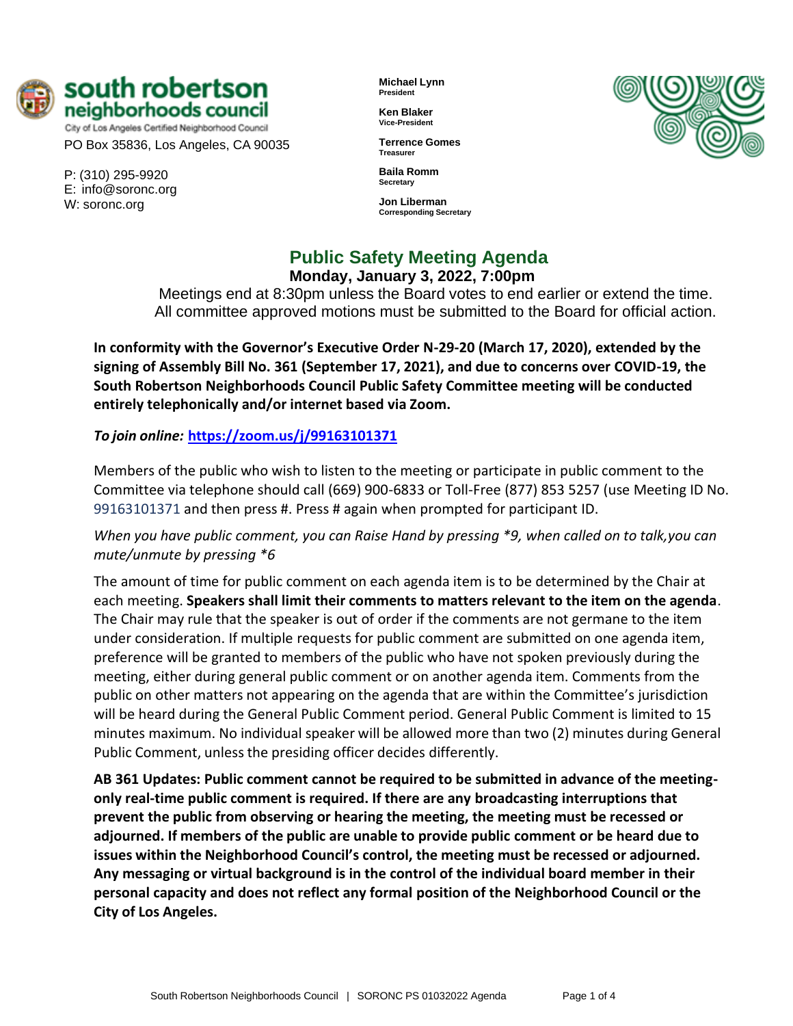

City of Los Angeles Certified Neighborhood Council PO Box 35836, Los Angeles, CA 90035

P: (310) 295-9920 E: [info@soronc.org](mailto:info@soronc.org) W: soronc.org

**Michael Lynn President**

**Ken Blaker Vice-President**

**Terrence Gomes Treasurer**

**Baila Romm Secretary**

**Jon Liberman Corresponding Secretary**



**Public Safety Meeting Agenda**

**Monday, January 3, 2022, 7:00pm**

Meetings end at 8:30pm unless the Board votes to end earlier or extend the time. All committee approved motions must be submitted to the Board for official action.

**In conformity with the Governor's Executive Order N-29-20 (March 17, 2020), extended by the signing of Assembly Bill No. 361 (September 17, 2021), and due to concerns over COVID-19, the South Robertson Neighborhoods Council Public Safety Committee meeting will be conducted entirely telephonically and/or internet based via Zoom.**

*To join online:* **<https://zoom.us/j/99163101371>**

Members of the public who wish to listen to the meeting or participate in public comment to the Committee via telephone should call (669) 900-6833 or Toll-Free (877) 853 5257 (use Meeting ID No. 99163101371 and then press #. Press # again when prompted for participant ID.

*When you have public comment, you can Raise Hand by pressing \*9, when called on to talk,you can mute/unmute by pressing \*6*

The amount of time for public comment on each agenda item is to be determined by the Chair at each meeting. **Speakers shall limit their comments to matters relevant to the item on the agenda**. The Chair may rule that the speaker is out of order if the comments are not germane to the item under consideration. If multiple requests for public comment are submitted on one agenda item, preference will be granted to members of the public who have not spoken previously during the meeting, either during general public comment or on another agenda item. Comments from the public on other matters not appearing on the agenda that are within the Committee's jurisdiction will be heard during the General Public Comment period. General Public Comment is limited to 15 minutes maximum. No individual speaker will be allowed more than two (2) minutes during General Public Comment, unless the presiding officer decides differently.

**AB 361 Updates: Public comment cannot be required to be submitted in advance of the meetingonly real-time public comment is required. If there are any broadcasting interruptions that prevent the public from observing or hearing the meeting, the meeting must be recessed or adjourned. If members of the public are unable to provide public comment or be heard due to issues within the Neighborhood Council's control, the meeting must be recessed or adjourned. Any messaging or virtual background is in the control of the individual board member in their personal capacity and does not reflect any formal position of the Neighborhood Council or the City of Los Angeles.**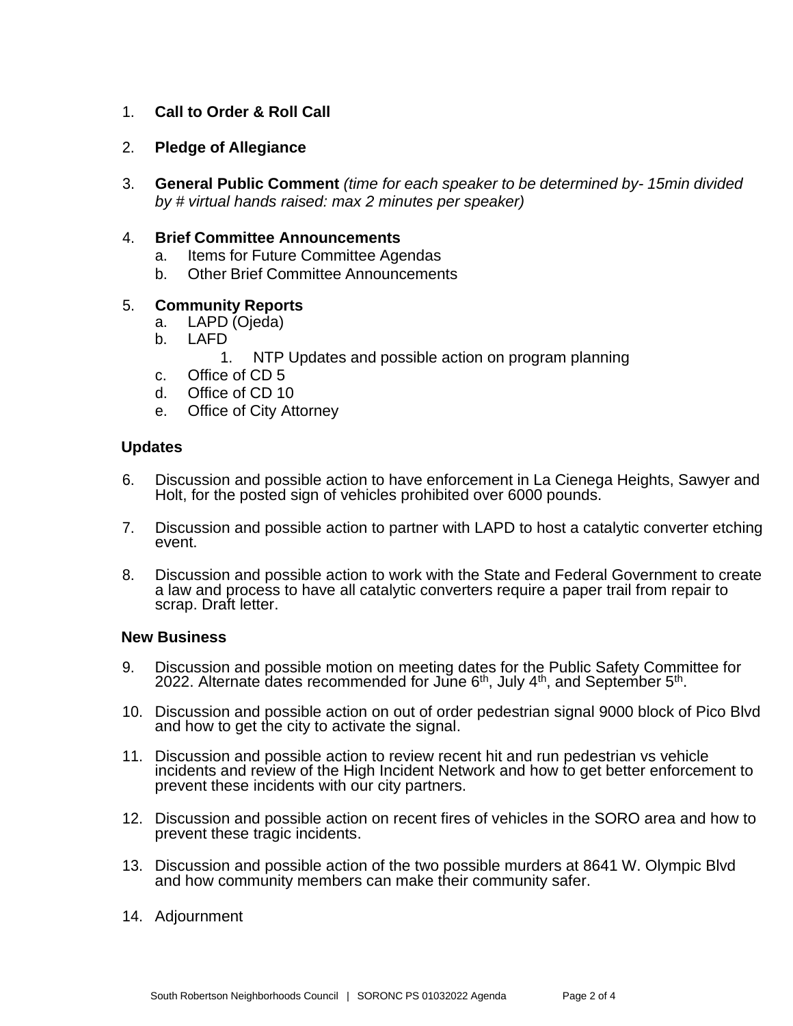# 1. **Call to Order & Roll Call**

- 2. **Pledge of Allegiance**
- 3. **General Public Comment** *(time for each speaker to be determined by- 15min divided by # virtual hands raised: max 2 minutes per speaker)*

### 4. **Brief Committee Announcements**

- a. Items for Future Committee Agendas
- b. Other Brief Committee Announcements

# 5. **Community Reports**

- a. LAPD (Ojeda)
- b. LAFD
	- 1. NTP Updates and possible action on program planning
- c. Office of CD 5
- d. Office of CD 10
- e. Office of City Attorney

### **Updates**

- 6. Discussion and possible action to have enforcement in La Cienega Heights, Sawyer and Holt, for the posted sign of vehicles prohibited over 6000 pounds.
- 7. Discussion and possible action to partner with LAPD to host a catalytic converter etching event.
- 8. Discussion and possible action to work with the State and Federal Government to create a law and process to have all catalytic converters require a paper trail from repair to scrap. Draft letter.

### **New Business**

- 9. Discussion and possible motion on meeting dates for the Public Safety Committee for 2022. Alternate dates recommended for June  $6<sup>th</sup>$ , July  $4<sup>th</sup>$ , and September  $5<sup>th</sup>$ .
- 10. Discussion and possible action on out of order pedestrian signal 9000 block of Pico Blvd and how to get the city to activate the signal.
- 11. Discussion and possible action to review recent hit and run pedestrian vs vehicle incidents and review of the High Incident Network and how to get better enforcement to prevent these incidents with our city partners.
- 12. Discussion and possible action on recent fires of vehicles in the SORO area and how to prevent these tragic incidents.
- 13. Discussion and possible action of the two possible murders at 8641 W. Olympic Blvd and how community members can make their community safer.
- 14. Adjournment